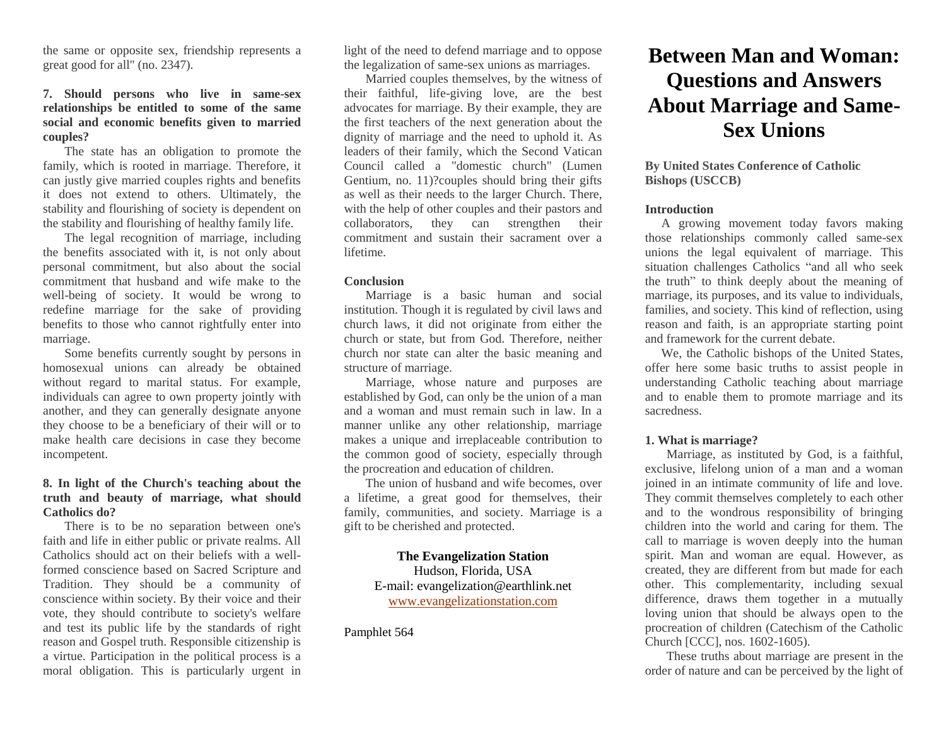the same or opposite sex, friendship represents a great good for all" (no. 2347).

# **7. Should persons who live in same-sex relationships be entitled to some of the same social and economic benefits given to married couples?**

The state has an obligation to promote the family, which is rooted in marriage. Therefore, it can justly give married couples rights and benefits it does not extend to others. Ultimately, the stability and flourishing of society is dependent on the stability and flourishing of healthy family life.

The legal recognition of marriage, including the benefits associated with it, is not only about personal commitment, but also about the social commitment that husband and wife make to the well-being of society. It would be wrong to redefine marriage for the sake of providing benefits to those who cannot rightfully enter into marriage.

Some benefits currently sought by persons in homosexual unions can already be obtained without regard to marital status. For example, individuals can agree to own property jointly with another, and they can generally designate anyone they choose to be a beneficiary of their will or to make health care decisions in case they become incompetent.

# **8. In light of the Church's teaching about the truth and beauty of marriage, what should Catholics do?**

There is to be no separation between one's faith and life in either public or private realms. All Catholics should act on their beliefs with a wellformed conscience based on Sacred Scripture and Tradition. They should be a community of conscience within society. By their voice and their vote, they should contribute to society's welfare and test its public life by the standards of right reason and Gospel truth. Responsible citizenship is a virtue. Participation in the political process is a moral obligation. This is particularly urgent in

light of the need to defend marriage and to oppose the legalization of same-sex unions as marriages.

Married couples themselves, by the witness of their faithful, life-giving love, are the best advocates for marriage. By their example, they are the first teachers of the next generation about the dignity of marriage and the need to uphold it. As leaders of their family, which the Second Vatican Council called a "domestic church" (Lumen Gentium, no. 11)?couples should bring their gifts as well as their needs to the larger Church. There, with the help of other couples and their pastors and collaborators, they can strengthen their commitment and sustain their sacrament over a lifetime.

#### **Conclusion**

Marriage is a basic human and social institution. Though it is regulated by civil laws and church laws, it did not originate from either the church or state, but from God. Therefore, neither church nor state can alter the basic meaning and structure of marriage.

Marriage, whose nature and purposes are established by God, can only be the union of a man and a woman and must remain such in law. In a manner unlike any other relationship, marriage makes a unique and irreplaceable contribution to the common good of society, especially through the procreation and education of children.

The union of husband and wife becomes, over a lifetime, a great good for themselves, their family, communities, and society. Marriage is a gift to be cherished and protected.

# **The Evangelization Station** Hudson, Florida, USA E-mail: evangelization@earthlink.net [www.evangelizationstation.com](http://www.pjpiisoe.org/)

## Pamphlet 564

# **Between Man and Woman: Questions and Answers About Marriage and Same-Sex Unions**

## **By United States Conference of Catholic Bishops (USCCB)**

#### **Introduction**

A growing movement today favors making those relationships commonly called same-sex unions the legal equivalent of marriage. This situation challenges Catholics "and all who seek the truth" to think deeply about the meaning of marriage, its purposes, and its value to individuals, families, and society. This kind of reflection, using reason and faith, is an appropriate starting point and framework for the current debate.

We, the Catholic bishops of the United States, offer here some basic truths to assist people in understanding Catholic teaching about marriage and to enable them to promote marriage and its sacredness.

#### **1. What is marriage?**

Marriage, as instituted by God, is a faithful, exclusive, lifelong union of a man and a woman joined in an intimate community of life and love. They commit themselves completely to each other and to the wondrous responsibility of bringing children into the world and caring for them. The call to marriage is woven deeply into the human spirit. Man and woman are equal. However, as created, they are different from but made for each other. This complementarity, including sexual difference, draws them together in a mutually loving union that should be always open to the procreation of children (Catechism of the Catholic Church [CCC], nos. 1602-1605).

These truths about marriage are present in the order of nature and can be perceived by the light of